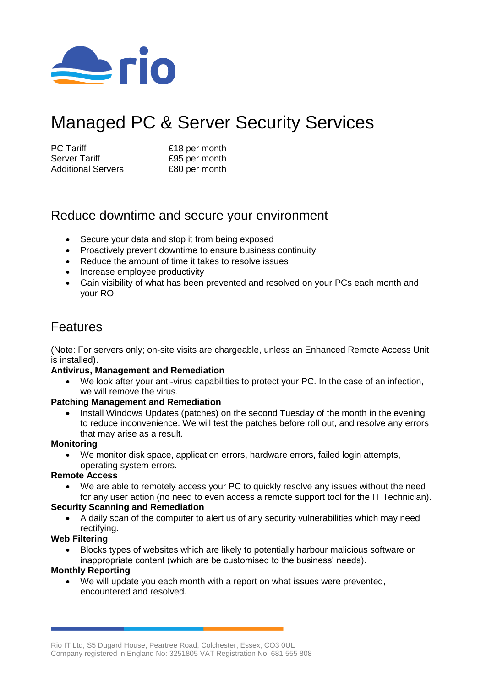

# Managed PC & Server Security Services

| <b>PC</b> Tariff          | £18 per month |
|---------------------------|---------------|
| <b>Server Tariff</b>      | £95 per month |
| <b>Additional Servers</b> | £80 per month |

# Reduce downtime and secure your environment

- Secure your data and stop it from being exposed
- Proactively prevent downtime to ensure business continuity
- Reduce the amount of time it takes to resolve issues
- Increase employee productivity
- Gain visibility of what has been prevented and resolved on your PCs each month and your ROI

# Features

(Note: For servers only; on-site visits are chargeable, unless an Enhanced Remote Access Unit is installed).

## **Antivirus, Management and Remediation**

 We look after your anti-virus capabilities to protect your PC. In the case of an infection, we will remove the virus.

## **Patching Management and Remediation**

• Install Windows Updates (patches) on the second Tuesday of the month in the evening to reduce inconvenience. We will test the patches before roll out, and resolve any errors that may arise as a result.

#### **Monitoring**

 We monitor disk space, application errors, hardware errors, failed login attempts, operating system errors.

## **Remote Access**

 We are able to remotely access your PC to quickly resolve any issues without the need for any user action (no need to even access a remote support tool for the IT Technician).

#### **Security Scanning and Remediation**

 A daily scan of the computer to alert us of any security vulnerabilities which may need rectifying.

## **Web Filtering**

 Blocks types of websites which are likely to potentially harbour malicious software or inappropriate content (which are be customised to the business' needs).

## **Monthly Reporting**

 We will update you each month with a report on what issues were prevented, encountered and resolved.